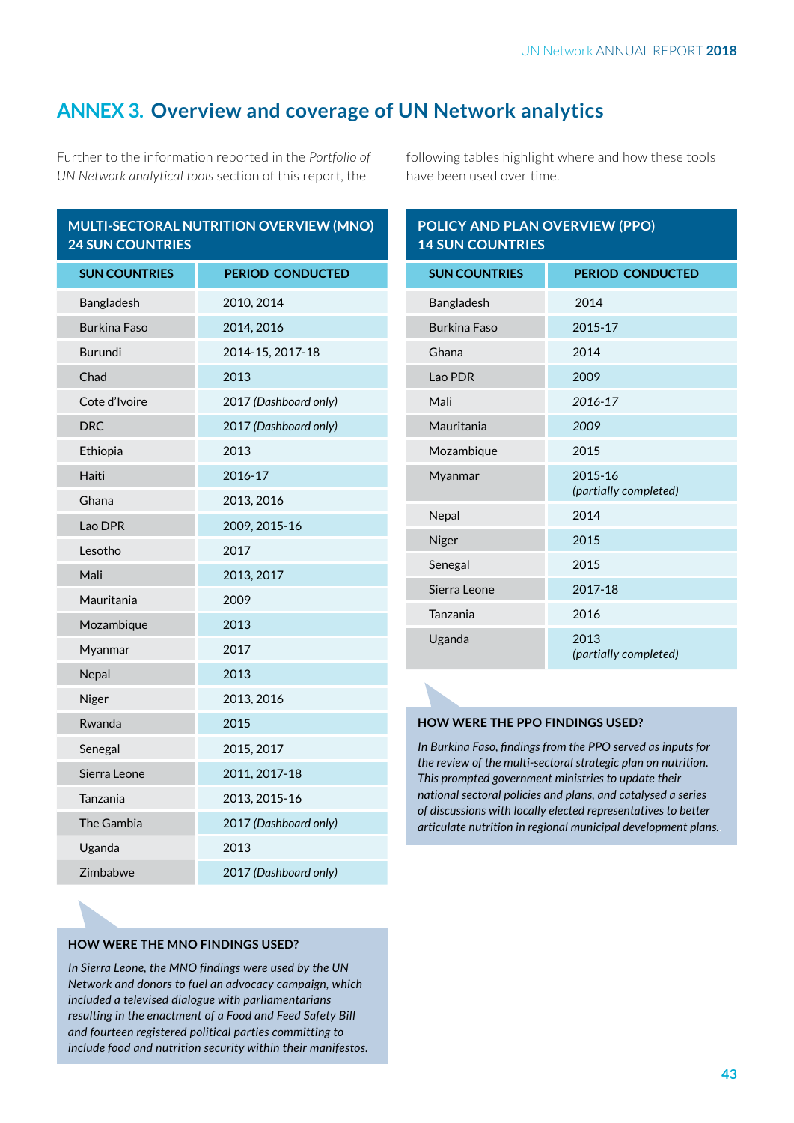# **ANNEX 3. Overview and coverage of UN Network analytics**

Further to the information reported in the *Portfolio of UN Network analytical tools* section of this report, the

| MULTI-SECTORAL NUTRITION OVERVIEW (MNO) |  |
|-----------------------------------------|--|
| <b>24 SUN COUNTRIES</b>                 |  |

| <b>SUN COUNTRIES</b> | <b>PERIOD CONDUCTED</b> |
|----------------------|-------------------------|
| Bangladesh           | 2010, 2014              |
| <b>Burkina Faso</b>  | 2014, 2016              |
| <b>Burundi</b>       | 2014-15, 2017-18        |
| Chad                 | 2013                    |
| Cote d'Ivoire        | 2017 (Dashboard only)   |
| <b>DRC</b>           | 2017 (Dashboard only)   |
| Ethiopia             | 2013                    |
| Haiti                | 2016-17                 |
| Ghana                | 2013, 2016              |
| Lao DPR              | 2009, 2015-16           |
| Lesotho              | 2017                    |
| Mali                 | 2013, 2017              |
| Mauritania           | 2009                    |
| Mozambique           | 2013                    |
| Myanmar              | 2017                    |
| Nepal                | 2013                    |
| Niger                | 2013, 2016              |
| Rwanda               | 2015                    |
| Senegal              | 2015, 2017              |
| Sierra Leone         | 2011, 2017-18           |
| Tanzania             | 2013, 2015-16           |
| The Gambia           | 2017 (Dashboard only)   |
| Uganda               | 2013                    |
| Zimbabwe             | 2017 (Dashboard only)   |

following tables highlight where and how these tools have been used over time.

| POLICY AND PLAN OVERVIEW (PPO)<br><b>14 SUN COUNTRIES</b> |                                  |  |
|-----------------------------------------------------------|----------------------------------|--|
| <b>SUN COUNTRIES</b>                                      | <b>PERIOD CONDUCTED</b>          |  |
| Bangladesh                                                | 2014                             |  |
| <b>Burkina Faso</b>                                       | 2015-17                          |  |
| Ghana                                                     | 2014                             |  |
| Lao PDR                                                   | 2009                             |  |
| Mali                                                      | 2016-17                          |  |
| Mauritania                                                | 2009                             |  |
| Mozambique                                                | 2015                             |  |
| Myanmar                                                   | 2015-16<br>(partially completed) |  |
| Nepal                                                     | 2014                             |  |
| Niger                                                     | 2015                             |  |
| Senegal                                                   | 2015                             |  |
| Sierra Leone                                              | 2017-18                          |  |
| Tanzania                                                  | 2016                             |  |
| Uganda                                                    | 2013<br>(partially completed)    |  |

### **HOW WERE THE PPO FINDINGS USED?**

*In Burkina Faso, fndings from the PPO served as inputs for the review of the multi-sectoral strategic plan on nutrition. This prompted government ministries to update their national sectoral policies and plans, and catalysed a series of discussions with locally elected representatives to better articulate nutrition in regional municipal development plans..*

### **HOW WERE THE MNO FINDINGS USED?**

*In Sierra Leone, the MNO findings were used by the UN Network and donors to fuel an advocacy campaign, which included a televised dialogue with parliamentarians resulting in the enactment of a Food and Feed Safety Bill and fourteen registered political parties committing to include food and nutrition security within their manifestos.*